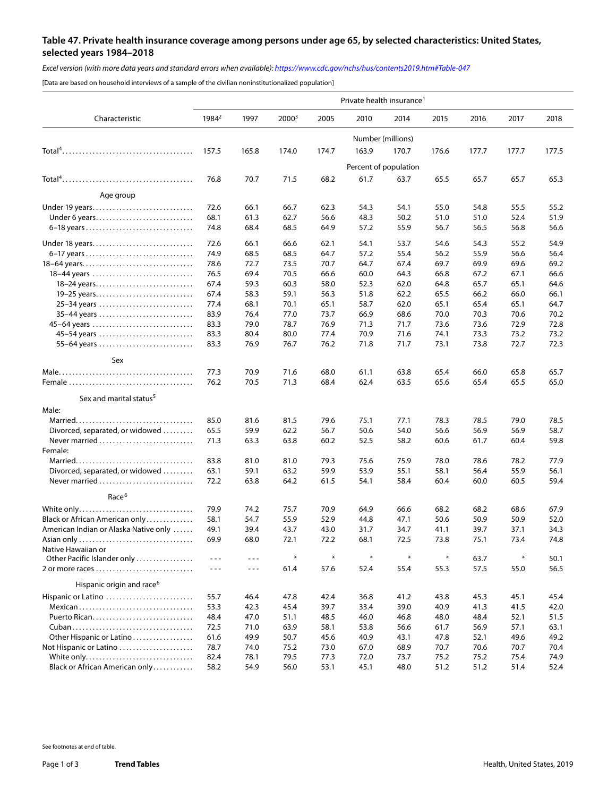## **Table 47. Private health insurance coverage among persons under age 65, by selected characteristics: United States, selected years 1984–2018**

*Excel version (with more data years and standard errors when available):<https://www.cdc.gov/nchs/hus/contents2019.htm#Table-047>*

[Data are based on household interviews of a sample of the civilian noninstitutionalized population]

| Characteristic                        | Private health insurance <sup>1</sup> |         |                   |        |        |                       |       |       |       |       |
|---------------------------------------|---------------------------------------|---------|-------------------|--------|--------|-----------------------|-------|-------|-------|-------|
|                                       | 1984 <sup>2</sup>                     | 1997    | 2000 <sup>3</sup> | 2005   | 2010   | 2014                  | 2015  | 2016  | 2017  | 2018  |
|                                       | Number (millions)                     |         |                   |        |        |                       |       |       |       |       |
|                                       | 157.5                                 | 165.8   | 174.0             | 174.7  | 163.9  | 170.7                 | 176.6 | 177.7 | 177.7 | 177.5 |
|                                       |                                       |         |                   |        |        | Percent of population |       |       |       |       |
|                                       | 76.8                                  | 70.7    | 71.5              | 68.2   | 61.7   | 63.7                  | 65.5  | 65.7  | 65.7  | 65.3  |
| Age group                             |                                       |         |                   |        |        |                       |       |       |       |       |
| Under 19 years                        | 72.6                                  | 66.1    | 66.7              | 62.3   | 54.3   | 54.1                  | 55.0  | 54.8  | 55.5  | 55.2  |
| Under 6 years                         | 68.1                                  | 61.3    | 62.7              | 56.6   | 48.3   | 50.2                  | 51.0  | 51.0  | 52.4  | 51.9  |
| 6-18 years                            | 74.8                                  | 68.4    | 68.5              | 64.9   | 57.2   | 55.9                  | 56.7  | 56.5  | 56.8  | 56.6  |
| Under 18 years                        | 72.6                                  | 66.1    | 66.6              | 62.1   | 54.1   | 53.7                  | 54.6  | 54.3  | 55.2  | 54.9  |
|                                       | 74.9                                  | 68.5    | 68.5              | 64.7   | 57.2   | 55.4                  | 56.2  | 55.9  | 56.6  | 56.4  |
| 18-64 years                           | 78.6                                  | 72.7    | 73.5              | 70.7   | 64.7   | 67.4                  | 69.7  | 69.9  | 69.6  | 69.2  |
| 18-44 years                           | 76.5                                  | 69.4    | 70.5              | 66.6   | 60.0   | 64.3                  | 66.8  | 67.2  | 67.1  | 66.6  |
| 18–24 years                           | 67.4                                  | 59.3    | 60.3              | 58.0   | 52.3   | 62.0                  | 64.8  | 65.7  | 65.1  | 64.6  |
| 19–25 years                           | 67.4                                  | 58.3    | 59.1              | 56.3   | 51.8   | 62.2                  | 65.5  | 66.2  | 66.0  | 66.1  |
| 25-34 years                           | 77.4                                  | 68.1    | 70.1              | 65.1   | 58.7   | 62.0                  | 65.1  | 65.4  | 65.1  | 64.7  |
| 35-44 years                           | 83.9                                  | 76.4    | 77.0              | 73.7   | 66.9   | 68.6                  | 70.0  | 70.3  | 70.6  | 70.2  |
| 45-64 years                           | 83.3                                  | 79.0    | 78.7              | 76.9   | 71.3   | 71.7                  | 73.6  | 73.6  | 72.9  | 72.8  |
| 45-54 years                           | 83.3                                  | 80.4    | 80.0              | 77.4   | 70.9   | 71.6                  | 74.1  | 73.3  | 73.2  | 73.2  |
| 55-64 years                           | 83.3                                  | 76.9    | 76.7              | 76.2   | 71.8   | 71.7                  | 73.1  | 73.8  | 72.7  | 72.3  |
| Sex                                   |                                       |         |                   |        |        |                       |       |       |       |       |
|                                       | 77.3                                  | 70.9    | 71.6              | 68.0   | 61.1   | 63.8                  | 65.4  | 66.0  | 65.8  | 65.7  |
|                                       | 76.2                                  | 70.5    | 71.3              | 68.4   | 62.4   | 63.5                  | 65.6  | 65.4  | 65.5  | 65.0  |
| Sex and marital status <sup>5</sup>   |                                       |         |                   |        |        |                       |       |       |       |       |
| Male:                                 |                                       |         |                   |        |        |                       |       |       |       |       |
|                                       | 85.0                                  | 81.6    | 81.5              | 79.6   | 75.1   | 77.1                  | 78.3  | 78.5  | 79.0  | 78.5  |
| Divorced, separated, or widowed       | 65.5                                  | 59.9    | 62.2              | 56.7   | 50.6   | 54.0                  | 56.6  | 56.9  | 56.9  | 58.7  |
| Never married<br>Female:              | 71.3                                  | 63.3    | 63.8              | 60.2   | 52.5   | 58.2                  | 60.6  | 61.7  | 60.4  | 59.8  |
|                                       | 83.8                                  | 81.0    | 81.0              | 79.3   | 75.6   | 75.9                  | 78.0  | 78.6  | 78.2  | 77.9  |
| Divorced, separated, or widowed       | 63.1                                  | 59.1    | 63.2              | 59.9   | 53.9   | 55.1                  | 58.1  | 56.4  | 55.9  | 56.1  |
| Never married                         | 72.2                                  | 63.8    | 64.2              | 61.5   | 54.1   | 58.4                  | 60.4  | 60.0  | 60.5  | 59.4  |
| Race <sup>6</sup>                     |                                       |         |                   |        |        |                       |       |       |       |       |
| White only                            | 79.9                                  | 74.2    | 75.7              | 70.9   | 64.9   | 66.6                  | 68.2  | 68.2  | 68.6  | 67.9  |
| Black or African American only        | 58.1                                  | 54.7    | 55.9              | 52.9   | 44.8   | 47.1                  | 50.6  | 50.9  | 50.9  | 52.0  |
| American Indian or Alaska Native only | 49.1                                  | 39.4    | 43.7              | 43.0   | 31.7   | 34.7                  | 41.1  | 39.7  | 37.1  | 34.3  |
|                                       | 69.9                                  | 68.0    | 72.1              | 72.2   | 68.1   | 72.5                  | 73.8  | 75.1  | 73.4  | 74.8  |
| Native Hawaiian or                    |                                       |         |                   |        |        |                       |       |       |       |       |
| Other Pacific Islander only           | $- - -$                               | $- - -$ | $\ast$            | $\ast$ | $\ast$ | $\ast$                |       | 63.7  | ₩     | 50.1  |
|                                       | $- - -$                               | $- - -$ | 61.4              | 57.6   | 52.4   | 55.4                  | 55.3  | 57.5  | 55.0  | 56.5  |
| Hispanic origin and race <sup>6</sup> |                                       |         |                   |        |        |                       |       |       |       |       |
| Hispanic or Latino                    | 55.7                                  | 46.4    | 47.8              | 42.4   | 36.8   | 41.2                  | 43.8  | 45.3  | 45.1  | 45.4  |
| Mexican                               | 53.3                                  | 42.3    | 45.4              | 39.7   | 33.4   | 39.0                  | 40.9  | 41.3  | 41.5  | 42.0  |
|                                       | 48.4                                  | 47.0    | 51.1              | 48.5   | 46.0   | 46.8                  | 48.0  | 48.4  | 52.1  | 51.5  |
|                                       | 72.5                                  | 71.0    | 63.9              | 58.1   | 53.8   | 56.6                  | 61.7  | 56.9  | 57.1  | 63.1  |
| Other Hispanic or Latino              | 61.6                                  | 49.9    | 50.7              | 45.6   | 40.9   | 43.1                  | 47.8  | 52.1  | 49.6  | 49.2  |
| Not Hispanic or Latino                | 78.7                                  | 74.0    | 75.2              | 73.0   | 67.0   | 68.9                  | 70.7  | 70.6  | 70.7  | 70.4  |
| White only                            | 82.4                                  | 78.1    | 79.5              | 77.3   | 72.0   | 73.7                  | 75.2  | 75.2  | 75.4  | 74.9  |
| Black or African American only        | 58.2                                  | 54.9    | 56.0              | 53.1   | 45.1   | 48.0                  | 51.2  | 51.2  | 51.4  | 52.4  |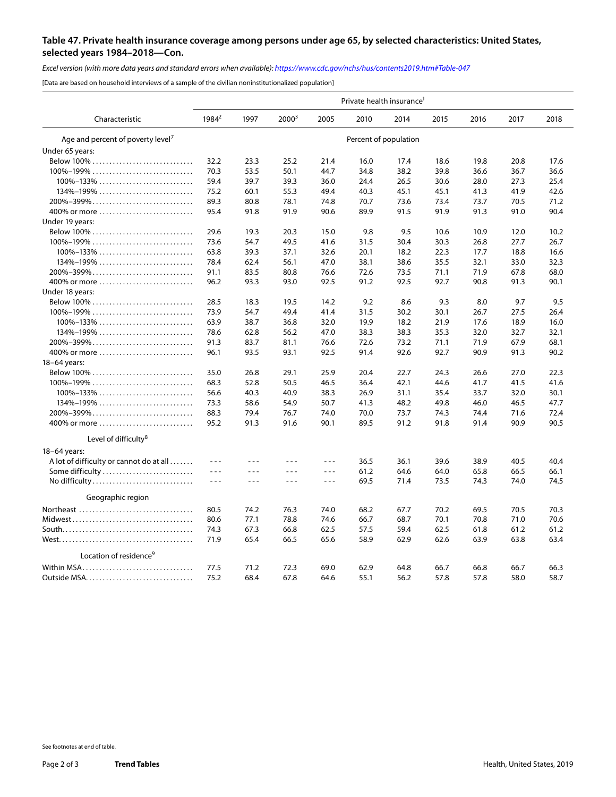## **Table 47. Private health insurance coverage among persons under age 65, by selected characteristics: United States, selected years 1984–2018—Con.**

*Excel version (with more data years and standard errors when available):<https://www.cdc.gov/nchs/hus/contents2019.htm#Table-047>*

[Data are based on household interviews of a sample of the civilian noninstitutionalized population]

| Characteristic                                                                        | Private health insurance <sup>1</sup> |         |          |                      |      |      |      |      |      |      |
|---------------------------------------------------------------------------------------|---------------------------------------|---------|----------|----------------------|------|------|------|------|------|------|
|                                                                                       | 1984 <sup>2</sup>                     | 1997    | $2000^3$ | 2005                 | 2010 | 2014 | 2015 | 2016 | 2017 | 2018 |
| Age and percent of poverty level <sup>7</sup>                                         | Percent of population                 |         |          |                      |      |      |      |      |      |      |
| Under 65 years:                                                                       |                                       |         |          |                      |      |      |      |      |      |      |
|                                                                                       | 32.2                                  | 23.3    | 25.2     | 21.4                 | 16.0 | 17.4 | 18.6 | 19.8 | 20.8 | 17.6 |
| $100\% - 199\%$                                                                       | 70.3                                  | 53.5    | 50.1     | 44.7                 | 34.8 | 38.2 | 39.8 | 36.6 | 36.7 | 36.6 |
| $100\% - 133\% \ldots \ldots \ldots \ldots \ldots \ldots \ldots$                      | 59.4                                  | 39.7    | 39.3     | 36.0                 | 24.4 | 26.5 | 30.6 | 28.0 | 27.3 | 25.4 |
| $134\% - 199\% \ldots \ldots \ldots \ldots \ldots \ldots \ldots \ldots$               | 75.2                                  | 60.1    | 55.3     | 49.4                 | 40.3 | 45.1 | 45.1 | 41.3 | 41.9 | 42.6 |
| 200%-399%                                                                             | 89.3                                  | 80.8    | 78.1     | 74.8                 | 70.7 | 73.6 | 73.4 | 73.7 | 70.5 | 71.2 |
| 400% or more                                                                          | 95.4                                  | 91.8    | 91.9     | 90.6                 | 89.9 | 91.5 | 91.9 | 91.3 | 91.0 | 90.4 |
| Under 19 years:                                                                       |                                       |         |          |                      |      |      |      |      |      |      |
|                                                                                       | 29.6                                  | 19.3    | 20.3     | 15.0                 | 9.8  | 9.5  | 10.6 | 10.9 | 12.0 | 10.2 |
| $100\% - 199\%$                                                                       | 73.6                                  | 54.7    | 49.5     | 41.6                 | 31.5 | 30.4 | 30.3 | 26.8 | 27.7 | 26.7 |
| $100\% - 133\% \ldots \ldots \ldots \ldots \ldots \ldots \ldots \ldots$               | 63.8                                  | 39.3    | 37.1     | 32.6                 | 20.1 | 18.2 | 22.3 | 17.7 | 18.8 | 16.6 |
| $134\% - 199\%$                                                                       | 78.4                                  | 62.4    | 56.1     | 47.0                 | 38.1 | 38.6 | 35.5 | 32.1 | 33.0 | 32.3 |
|                                                                                       |                                       |         |          |                      |      |      |      |      |      |      |
| 200%-399%                                                                             | 91.1                                  | 83.5    | 80.8     | 76.6                 | 72.6 | 73.5 | 71.1 | 71.9 | 67.8 | 68.0 |
| 400% or more                                                                          | 96.2                                  | 93.3    | 93.0     | 92.5                 | 91.2 | 92.5 | 92.7 | 90.8 | 91.3 | 90.1 |
| Under 18 years:                                                                       |                                       |         |          |                      |      |      |      |      |      |      |
|                                                                                       | 28.5                                  | 18.3    | 19.5     | 14.2                 | 9.2  | 8.6  | 9.3  | 8.0  | 9.7  | 9.5  |
| $100\% - 199\% \ldots \ldots \ldots \ldots \ldots \ldots \ldots \ldots \ldots$        | 73.9                                  | 54.7    | 49.4     | 41.4                 | 31.5 | 30.2 | 30.1 | 26.7 | 27.5 | 26.4 |
| $100\% - 133\% \ldots \ldots \ldots \ldots \ldots \ldots \ldots \ldots$               | 63.9                                  | 38.7    | 36.8     | 32.0                 | 19.9 | 18.2 | 21.9 | 17.6 | 18.9 | 16.0 |
| $134\% - 199\% \ldots \ldots \ldots \ldots \ldots \ldots \ldots \ldots$               | 78.6                                  | 62.8    | 56.2     | 47.0                 | 38.3 | 38.3 | 35.3 | 32.0 | 32.7 | 32.1 |
| 200%-399%                                                                             | 91.3                                  | 83.7    | 81.1     | 76.6                 | 72.6 | 73.2 | 71.1 | 71.9 | 67.9 | 68.1 |
| 400% or more                                                                          | 96.1                                  | 93.5    | 93.1     | 92.5                 | 91.4 | 92.6 | 92.7 | 90.9 | 91.3 | 90.2 |
| 18-64 years:                                                                          |                                       |         |          |                      |      |      |      |      |      |      |
|                                                                                       | 35.0                                  | 26.8    | 29.1     | 25.9                 | 20.4 | 22.7 | 24.3 | 26.6 | 27.0 | 22.3 |
| $100\% - 199\%$                                                                       | 68.3                                  | 52.8    | 50.5     | 46.5                 | 36.4 | 42.1 | 44.6 | 41.7 | 41.5 | 41.6 |
| $100\% - 133\% \ldots \ldots \ldots \ldots \ldots \ldots \ldots \ldots$               | 56.6                                  | 40.3    | 40.9     | 38.3                 | 26.9 | 31.1 | 35.4 | 33.7 | 32.0 | 30.1 |
| $134\% - 199\%$                                                                       | 73.3                                  | 58.6    | 54.9     | 50.7                 | 41.3 | 48.2 | 49.8 | 46.0 | 46.5 | 47.7 |
| $200\% - 399\% \ldots \ldots \ldots \ldots \ldots \ldots \ldots \ldots \ldots \ldots$ | 88.3                                  | 79.4    | 76.7     | 74.0                 | 70.0 | 73.7 | 74.3 | 74.4 | 71.6 | 72.4 |
| 400% or more                                                                          | 95.2                                  | 91.3    | 91.6     | 90.1                 | 89.5 | 91.2 | 91.8 | 91.4 | 90.9 | 90.5 |
| Level of difficulty <sup>8</sup>                                                      |                                       |         |          |                      |      |      |      |      |      |      |
| 18-64 years:                                                                          |                                       |         |          |                      |      |      |      |      |      |      |
| A lot of difficulty or cannot do at all                                               | $- - -$                               | $- - -$ | $- - -$  | $- - -$              | 36.5 | 36.1 | 39.6 | 38.9 | 40.5 | 40.4 |
| Some difficulty                                                                       | ---                                   | $- - -$ | $- - -$  | $\sim$ $\sim$ $\sim$ | 61.2 | 64.6 | 64.0 | 65.8 | 66.5 | 66.1 |
|                                                                                       | $- - -$                               | $- - -$ | $- - -$  | $- - -$              | 69.5 | 71.4 | 73.5 | 74.3 | 74.0 | 74.5 |
| No difficulty                                                                         |                                       |         |          |                      |      |      |      |      |      |      |
| Geographic region                                                                     |                                       |         |          |                      |      |      |      |      |      |      |
| Northeast                                                                             | 80.5                                  | 74.2    | 76.3     | 74.0                 | 68.2 | 67.7 | 70.2 | 69.5 | 70.5 | 70.3 |
|                                                                                       | 80.6                                  | 77.1    | 78.8     | 74.6                 | 66.7 | 68.7 | 70.1 | 70.8 | 71.0 | 70.6 |
|                                                                                       | 74.3                                  | 67.3    | 66.8     | 62.5                 | 57.5 | 59.4 | 62.5 | 61.8 | 61.2 | 61.2 |
|                                                                                       | 71.9                                  | 65.4    | 66.5     | 65.6                 | 58.9 | 62.9 | 62.6 | 63.9 | 63.8 | 63.4 |
| Location of residence <sup>9</sup>                                                    |                                       |         |          |                      |      |      |      |      |      |      |
| Within MSA                                                                            | 77.5                                  | 71.2    | 72.3     | 69.0                 | 62.9 | 64.8 | 66.7 | 66.8 | 66.7 | 66.3 |
|                                                                                       | 75.2                                  | 68.4    | 67.8     | 64.6                 | 55.1 | 56.2 | 57.8 | 57.8 | 58.0 | 58.7 |
|                                                                                       |                                       |         |          |                      |      |      |      |      |      |      |

See footnotes at end of table.